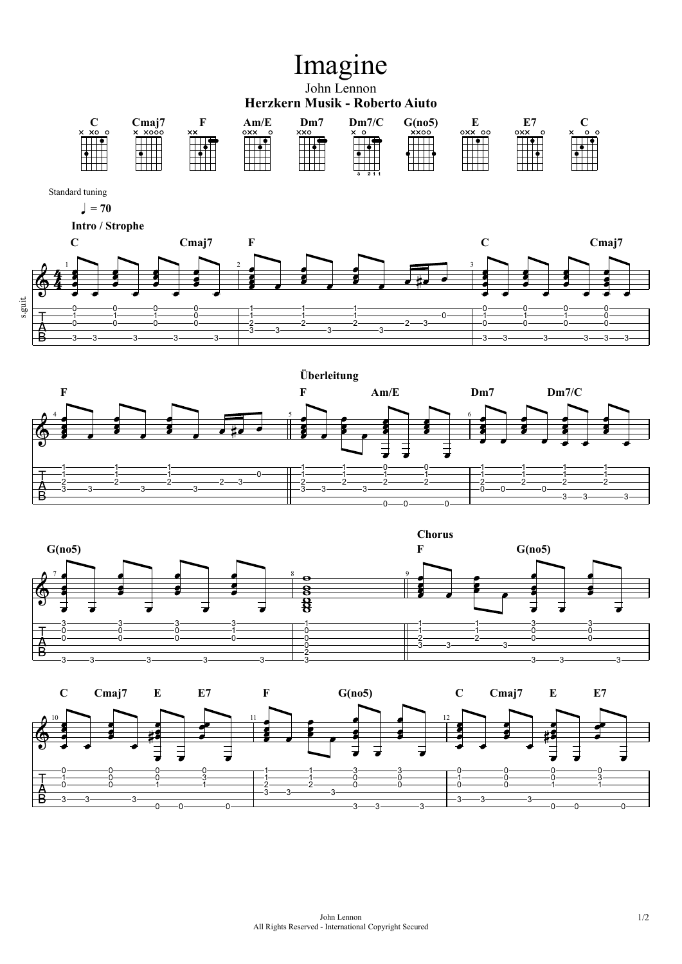## Imagine

## John Lennon **Herzkern Musik - Roberto Aiuto**

|        | $C$ maj <sup>7</sup> |                | $\mathbf{Am}/\mathbf{E}$ | Dm7 | Dm7/C | G(no5)      |        | г.<br>ப  |  |
|--------|----------------------|----------------|--------------------------|-----|-------|-------------|--------|----------|--|
| X XO O | X XOOO               | $\times\times$ | oxx<br>0                 | xxo |       | <b>XXOO</b> | OXX OO | oxx<br>◠ |  |
|        |                      |                |                          |     |       |             |        |          |  |
|        |                      |                |                          |     |       |             |        |          |  |
|        |                      |                |                          |     |       |             |        |          |  |
|        |                      |                |                          |     |       |             |        |          |  |
|        |                      |                |                          |     |       |             |        |          |  |
|        |                      |                |                          |     | 21    |             |        |          |  |

Standard tuning

 $= 70$ 



 **Intro / Strophe**